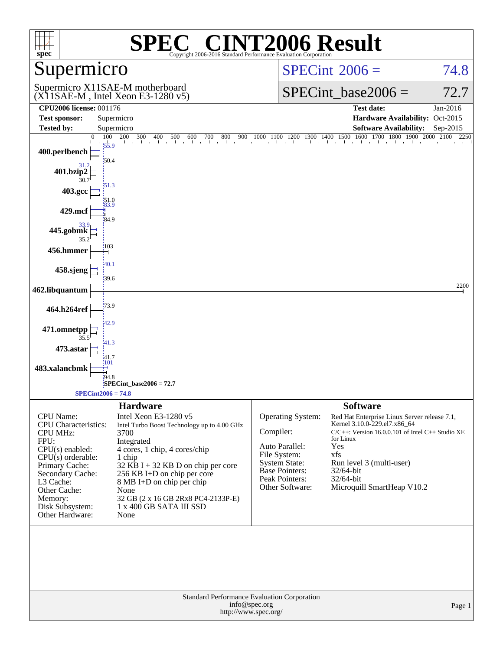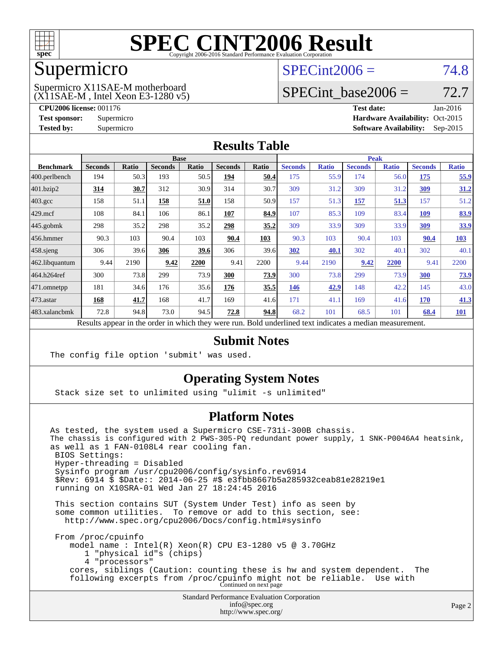

#### Supermicro

### $SPECint2006 = 74.8$  $SPECint2006 = 74.8$

(X11SAE-M , Intel Xeon E3-1280 v5) Supermicro X11SAE-M motherboard

SPECint base2006 =  $72.7$ 

**[CPU2006 license:](http://www.spec.org/auto/cpu2006/Docs/result-fields.html#CPU2006license)** 001176 **[Test date:](http://www.spec.org/auto/cpu2006/Docs/result-fields.html#Testdate)** Jan-2016 **[Test sponsor:](http://www.spec.org/auto/cpu2006/Docs/result-fields.html#Testsponsor)** Supermicro Supermicro **[Hardware Availability:](http://www.spec.org/auto/cpu2006/Docs/result-fields.html#HardwareAvailability)** Oct-2015 **[Tested by:](http://www.spec.org/auto/cpu2006/Docs/result-fields.html#Testedby)** Supermicro **Supermicro [Software Availability:](http://www.spec.org/auto/cpu2006/Docs/result-fields.html#SoftwareAvailability)** Sep-2015

#### **[Results Table](http://www.spec.org/auto/cpu2006/Docs/result-fields.html#ResultsTable)**

|                                                                                                          | <b>Base</b>    |       |                |       | <b>Peak</b>    |       |                |              |                |              |                |              |
|----------------------------------------------------------------------------------------------------------|----------------|-------|----------------|-------|----------------|-------|----------------|--------------|----------------|--------------|----------------|--------------|
| <b>Benchmark</b>                                                                                         | <b>Seconds</b> | Ratio | <b>Seconds</b> | Ratio | <b>Seconds</b> | Ratio | <b>Seconds</b> | <b>Ratio</b> | <b>Seconds</b> | <b>Ratio</b> | <b>Seconds</b> | <b>Ratio</b> |
| 400.perlbench                                                                                            | 194            | 50.3  | 193            | 50.5  | 194            | 50.4  | 175            | 55.9         | 174            | 56.0         | 175            | 55.9         |
| 401.bzip2                                                                                                | 314            | 30.7  | 312            | 30.9  | 314            | 30.7  | 309            | 31.2         | 309            | 31.2         | 309            | 31.2         |
| $403.\mathrm{gcc}$                                                                                       | 158            | 51.1  | 158            | 51.0  | 158            | 50.9  | 157            | 51.3         | 157            | 51.3         | 157            | 51.2         |
| $429$ mcf                                                                                                | 108            | 84.1  | 106            | 86.1  | 107            | 84.9  | 107            | 85.3         | 109            | 83.4         | <b>109</b>     | 83.9         |
| $445$ .gobmk                                                                                             | 298            | 35.2  | 298            | 35.2  | 298            | 35.2  | 309            | 33.9         | 309            | 33.9         | 309            | 33.9         |
| $ 456$ .hmmer                                                                                            | 90.3           | 103   | 90.4           | 103   | 90.4           | 103   | 90.3           | 103          | 90.4           | 103          | 90.4           | 103          |
| $458$ .sjeng                                                                                             | 306            | 39.6  | 306            | 39.6  | 306            | 39.6  | 302            | 40.1         | 302            | 40.1         | 302            | 40.1         |
| 462.libquantum                                                                                           | 9.44           | 2190  | 9.42           | 2200  | 9.41           | 2200  | 9.44           | 2190         | 9.42           | 2200         | 9.41           | 2200         |
| 464.h264ref                                                                                              | 300            | 73.8  | 299            | 73.9  | 300            | 73.9  | 300            | 73.8         | 299            | 73.9         | 300            | <u>73.9</u>  |
| 471.omnetpp                                                                                              | 181            | 34.6  | 176            | 35.6  | 176            | 35.5  | 146            | 42.9         | 148            | 42.2         | 145            | 43.0         |
| $473.$ astar                                                                                             | 168            | 41.7  | 168            | 41.7  | 169            | 41.6  | 171            | 41.1         | 169            | 41.6         | 170            | 41.3         |
| 483.xalancbmk                                                                                            | 72.8           | 94.8  | 73.0           | 94.5  | 72.8           | 94.8  | 68.2           | 101          | 68.5           | 101          | 68.4           | <b>101</b>   |
| Results appear in the order in which they were run. Bold underlined text indicates a median measurement. |                |       |                |       |                |       |                |              |                |              |                |              |

#### **[Submit Notes](http://www.spec.org/auto/cpu2006/Docs/result-fields.html#SubmitNotes)**

The config file option 'submit' was used.

#### **[Operating System Notes](http://www.spec.org/auto/cpu2006/Docs/result-fields.html#OperatingSystemNotes)**

Stack size set to unlimited using "ulimit -s unlimited"

#### **[Platform Notes](http://www.spec.org/auto/cpu2006/Docs/result-fields.html#PlatformNotes)**

Standard Performance Evaluation Corporation As tested, the system used a Supermicro CSE-731i-300B chassis. The chassis is configured with 2 PWS-305-PQ redundant power supply, 1 SNK-P0046A4 heatsink, as well as 1 FAN-0108L4 rear cooling fan. BIOS Settings: Hyper-threading = Disabled Sysinfo program /usr/cpu2006/config/sysinfo.rev6914 \$Rev: 6914 \$ \$Date:: 2014-06-25 #\$ e3fbb8667b5a285932ceab81e28219e1 running on X10SRA-01 Wed Jan 27 18:24:45 2016 This section contains SUT (System Under Test) info as seen by some common utilities. To remove or add to this section, see: <http://www.spec.org/cpu2006/Docs/config.html#sysinfo> From /proc/cpuinfo model name : Intel(R) Xeon(R) CPU E3-1280 v5 @ 3.70GHz 1 "physical id"s (chips) 4 "processors" cores, siblings (Caution: counting these is hw and system dependent. The following excerpts from /proc/cpuinfo might not be reliable. Use with Continued on next page

[info@spec.org](mailto:info@spec.org) <http://www.spec.org/>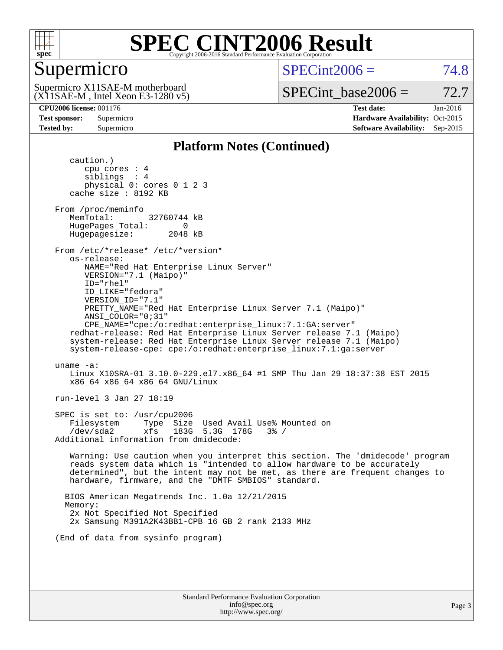

### Supermicro

 $SPECint2006 = 74.8$  $SPECint2006 = 74.8$ 

(X11SAE-M , Intel Xeon E3-1280 v5) Supermicro X11SAE-M motherboard

SPECint base2006 =  $72.7$ 

**[CPU2006 license:](http://www.spec.org/auto/cpu2006/Docs/result-fields.html#CPU2006license)** 001176 **[Test date:](http://www.spec.org/auto/cpu2006/Docs/result-fields.html#Testdate)** Jan-2016 **[Test sponsor:](http://www.spec.org/auto/cpu2006/Docs/result-fields.html#Testsponsor)** Supermicro Supermicro **[Hardware Availability:](http://www.spec.org/auto/cpu2006/Docs/result-fields.html#HardwareAvailability)** Oct-2015 **[Tested by:](http://www.spec.org/auto/cpu2006/Docs/result-fields.html#Testedby)** Supermicro **Supermicro [Software Availability:](http://www.spec.org/auto/cpu2006/Docs/result-fields.html#SoftwareAvailability)** Sep-2015

#### **[Platform Notes \(Continued\)](http://www.spec.org/auto/cpu2006/Docs/result-fields.html#PlatformNotes)**

 caution.) cpu cores : 4 siblings : 4 physical 0: cores 0 1 2 3 cache size : 8192 KB From /proc/meminfo MemTotal: 32760744 kB HugePages\_Total: 0<br>Hugepagesize: 2048 kB Hugepagesize: From /etc/\*release\* /etc/\*version\* os-release: NAME="Red Hat Enterprise Linux Server" VERSION="7.1 (Maipo)" ID="rhel" ID\_LIKE="fedora" VERSION\_ID="7.1" PRETTY\_NAME="Red Hat Enterprise Linux Server 7.1 (Maipo)" ANSI\_COLOR="0;31" CPE\_NAME="cpe:/o:redhat:enterprise\_linux:7.1:GA:server" redhat-release: Red Hat Enterprise Linux Server release 7.1 (Maipo) system-release: Red Hat Enterprise Linux Server release 7.1 (Maipo) system-release-cpe: cpe:/o:redhat:enterprise\_linux:7.1:ga:server uname -a: Linux X10SRA-01 3.10.0-229.el7.x86\_64 #1 SMP Thu Jan 29 18:37:38 EST 2015 x86\_64 x86\_64 x86\_64 GNU/Linux run-level 3 Jan 27 18:19 SPEC is set to: /usr/cpu2006 Filesystem Type Size Used Avail Use% Mounted on /dev/sda2 xfs 183G 5.3G 178G 3% / Additional information from dmidecode: Warning: Use caution when you interpret this section. The 'dmidecode' program reads system data which is "intended to allow hardware to be accurately determined", but the intent may not be met, as there are frequent changes to hardware, firmware, and the "DMTF SMBIOS" standard. BIOS American Megatrends Inc. 1.0a 12/21/2015 Memory: 2x Not Specified Not Specified 2x Samsung M391A2K43BB1-CPB 16 GB 2 rank 2133 MHz (End of data from sysinfo program)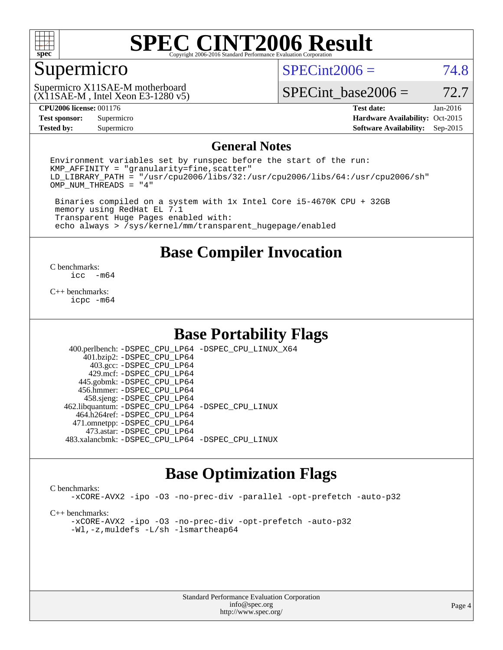

#### Supermicro

 $SPECint2006 = 74.8$  $SPECint2006 = 74.8$ 

(X11SAE-M , Intel Xeon E3-1280 v5) Supermicro X11SAE-M motherboard

SPECint base2006 =  $72.7$ 

**[Test sponsor:](http://www.spec.org/auto/cpu2006/Docs/result-fields.html#Testsponsor)** Supermicro Supermicro **[Hardware Availability:](http://www.spec.org/auto/cpu2006/Docs/result-fields.html#HardwareAvailability)** Oct-2015 **[Tested by:](http://www.spec.org/auto/cpu2006/Docs/result-fields.html#Testedby)** Supermicro **Supermicro [Software Availability:](http://www.spec.org/auto/cpu2006/Docs/result-fields.html#SoftwareAvailability)** Sep-2015

**[CPU2006 license:](http://www.spec.org/auto/cpu2006/Docs/result-fields.html#CPU2006license)** 001176 **[Test date:](http://www.spec.org/auto/cpu2006/Docs/result-fields.html#Testdate)** Jan-2016

#### **[General Notes](http://www.spec.org/auto/cpu2006/Docs/result-fields.html#GeneralNotes)**

Environment variables set by runspec before the start of the run:  $KMP$  AFFINITY = "granularity=fine, scatter" LD\_LIBRARY\_PATH = "/usr/cpu2006/libs/32:/usr/cpu2006/libs/64:/usr/cpu2006/sh" OMP\_NUM\_THREADS = "4"

 Binaries compiled on a system with 1x Intel Core i5-4670K CPU + 32GB memory using RedHat EL 7.1 Transparent Huge Pages enabled with: echo always > /sys/kernel/mm/transparent\_hugepage/enabled

**[Base Compiler Invocation](http://www.spec.org/auto/cpu2006/Docs/result-fields.html#BaseCompilerInvocation)**

 $\frac{C \text{ benchmarks:}}{C \text{ C}}$ -m64

[C++ benchmarks:](http://www.spec.org/auto/cpu2006/Docs/result-fields.html#CXXbenchmarks) [icpc -m64](http://www.spec.org/cpu2006/results/res2016q1/cpu2006-20160206-38994.flags.html#user_CXXbase_intel_icpc_64bit_fc66a5337ce925472a5c54ad6a0de310)

#### **[Base Portability Flags](http://www.spec.org/auto/cpu2006/Docs/result-fields.html#BasePortabilityFlags)**

 400.perlbench: [-DSPEC\\_CPU\\_LP64](http://www.spec.org/cpu2006/results/res2016q1/cpu2006-20160206-38994.flags.html#b400.perlbench_basePORTABILITY_DSPEC_CPU_LP64) [-DSPEC\\_CPU\\_LINUX\\_X64](http://www.spec.org/cpu2006/results/res2016q1/cpu2006-20160206-38994.flags.html#b400.perlbench_baseCPORTABILITY_DSPEC_CPU_LINUX_X64) 401.bzip2: [-DSPEC\\_CPU\\_LP64](http://www.spec.org/cpu2006/results/res2016q1/cpu2006-20160206-38994.flags.html#suite_basePORTABILITY401_bzip2_DSPEC_CPU_LP64) 403.gcc: [-DSPEC\\_CPU\\_LP64](http://www.spec.org/cpu2006/results/res2016q1/cpu2006-20160206-38994.flags.html#suite_basePORTABILITY403_gcc_DSPEC_CPU_LP64) 429.mcf: [-DSPEC\\_CPU\\_LP64](http://www.spec.org/cpu2006/results/res2016q1/cpu2006-20160206-38994.flags.html#suite_basePORTABILITY429_mcf_DSPEC_CPU_LP64) 445.gobmk: [-DSPEC\\_CPU\\_LP64](http://www.spec.org/cpu2006/results/res2016q1/cpu2006-20160206-38994.flags.html#suite_basePORTABILITY445_gobmk_DSPEC_CPU_LP64) 456.hmmer: [-DSPEC\\_CPU\\_LP64](http://www.spec.org/cpu2006/results/res2016q1/cpu2006-20160206-38994.flags.html#suite_basePORTABILITY456_hmmer_DSPEC_CPU_LP64) 458.sjeng: [-DSPEC\\_CPU\\_LP64](http://www.spec.org/cpu2006/results/res2016q1/cpu2006-20160206-38994.flags.html#suite_basePORTABILITY458_sjeng_DSPEC_CPU_LP64) 462.libquantum: [-DSPEC\\_CPU\\_LP64](http://www.spec.org/cpu2006/results/res2016q1/cpu2006-20160206-38994.flags.html#suite_basePORTABILITY462_libquantum_DSPEC_CPU_LP64) [-DSPEC\\_CPU\\_LINUX](http://www.spec.org/cpu2006/results/res2016q1/cpu2006-20160206-38994.flags.html#b462.libquantum_baseCPORTABILITY_DSPEC_CPU_LINUX) 464.h264ref: [-DSPEC\\_CPU\\_LP64](http://www.spec.org/cpu2006/results/res2016q1/cpu2006-20160206-38994.flags.html#suite_basePORTABILITY464_h264ref_DSPEC_CPU_LP64) 471.omnetpp: [-DSPEC\\_CPU\\_LP64](http://www.spec.org/cpu2006/results/res2016q1/cpu2006-20160206-38994.flags.html#suite_basePORTABILITY471_omnetpp_DSPEC_CPU_LP64) 473.astar: [-DSPEC\\_CPU\\_LP64](http://www.spec.org/cpu2006/results/res2016q1/cpu2006-20160206-38994.flags.html#suite_basePORTABILITY473_astar_DSPEC_CPU_LP64) 483.xalancbmk: [-DSPEC\\_CPU\\_LP64](http://www.spec.org/cpu2006/results/res2016q1/cpu2006-20160206-38994.flags.html#suite_basePORTABILITY483_xalancbmk_DSPEC_CPU_LP64) [-DSPEC\\_CPU\\_LINUX](http://www.spec.org/cpu2006/results/res2016q1/cpu2006-20160206-38994.flags.html#b483.xalancbmk_baseCXXPORTABILITY_DSPEC_CPU_LINUX)

#### **[Base Optimization Flags](http://www.spec.org/auto/cpu2006/Docs/result-fields.html#BaseOptimizationFlags)**

#### [C benchmarks](http://www.spec.org/auto/cpu2006/Docs/result-fields.html#Cbenchmarks):

[-xCORE-AVX2](http://www.spec.org/cpu2006/results/res2016q1/cpu2006-20160206-38994.flags.html#user_CCbase_f-xAVX2_5f5fc0cbe2c9f62c816d3e45806c70d7) [-ipo](http://www.spec.org/cpu2006/results/res2016q1/cpu2006-20160206-38994.flags.html#user_CCbase_f-ipo) [-O3](http://www.spec.org/cpu2006/results/res2016q1/cpu2006-20160206-38994.flags.html#user_CCbase_f-O3) [-no-prec-div](http://www.spec.org/cpu2006/results/res2016q1/cpu2006-20160206-38994.flags.html#user_CCbase_f-no-prec-div) [-parallel](http://www.spec.org/cpu2006/results/res2016q1/cpu2006-20160206-38994.flags.html#user_CCbase_f-parallel) [-opt-prefetch](http://www.spec.org/cpu2006/results/res2016q1/cpu2006-20160206-38994.flags.html#user_CCbase_f-opt-prefetch) [-auto-p32](http://www.spec.org/cpu2006/results/res2016q1/cpu2006-20160206-38994.flags.html#user_CCbase_f-auto-p32)

[C++ benchmarks:](http://www.spec.org/auto/cpu2006/Docs/result-fields.html#CXXbenchmarks)

[-xCORE-AVX2](http://www.spec.org/cpu2006/results/res2016q1/cpu2006-20160206-38994.flags.html#user_CXXbase_f-xAVX2_5f5fc0cbe2c9f62c816d3e45806c70d7) [-ipo](http://www.spec.org/cpu2006/results/res2016q1/cpu2006-20160206-38994.flags.html#user_CXXbase_f-ipo) [-O3](http://www.spec.org/cpu2006/results/res2016q1/cpu2006-20160206-38994.flags.html#user_CXXbase_f-O3) [-no-prec-div](http://www.spec.org/cpu2006/results/res2016q1/cpu2006-20160206-38994.flags.html#user_CXXbase_f-no-prec-div) [-opt-prefetch](http://www.spec.org/cpu2006/results/res2016q1/cpu2006-20160206-38994.flags.html#user_CXXbase_f-opt-prefetch) [-auto-p32](http://www.spec.org/cpu2006/results/res2016q1/cpu2006-20160206-38994.flags.html#user_CXXbase_f-auto-p32) [-Wl,-z,muldefs](http://www.spec.org/cpu2006/results/res2016q1/cpu2006-20160206-38994.flags.html#user_CXXbase_link_force_multiple1_74079c344b956b9658436fd1b6dd3a8a) [-L/sh -lsmartheap64](http://www.spec.org/cpu2006/results/res2016q1/cpu2006-20160206-38994.flags.html#user_CXXbase_SmartHeap64_ed4ef857ce90951921efb0d91eb88472)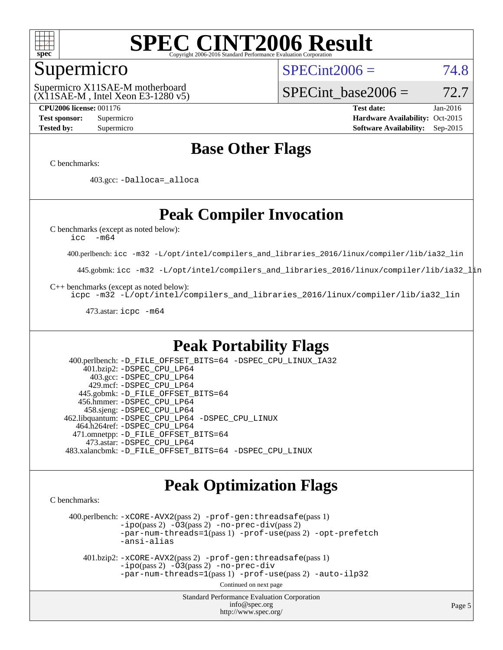

#### Supermicro

 $SPECint2006 = 74.8$  $SPECint2006 = 74.8$ 

(X11SAE-M , Intel Xeon E3-1280 v5) Supermicro X11SAE-M motherboard

SPECint base2006 =  $72.7$ 

**[CPU2006 license:](http://www.spec.org/auto/cpu2006/Docs/result-fields.html#CPU2006license)** 001176 **[Test date:](http://www.spec.org/auto/cpu2006/Docs/result-fields.html#Testdate)** Jan-2016 **[Test sponsor:](http://www.spec.org/auto/cpu2006/Docs/result-fields.html#Testsponsor)** Supermicro Supermicro **[Hardware Availability:](http://www.spec.org/auto/cpu2006/Docs/result-fields.html#HardwareAvailability)** Oct-2015 **[Tested by:](http://www.spec.org/auto/cpu2006/Docs/result-fields.html#Testedby)** Supermicro **Supermicro [Software Availability:](http://www.spec.org/auto/cpu2006/Docs/result-fields.html#SoftwareAvailability)** Sep-2015

#### **[Base Other Flags](http://www.spec.org/auto/cpu2006/Docs/result-fields.html#BaseOtherFlags)**

[C benchmarks](http://www.spec.org/auto/cpu2006/Docs/result-fields.html#Cbenchmarks):

403.gcc: [-Dalloca=\\_alloca](http://www.spec.org/cpu2006/results/res2016q1/cpu2006-20160206-38994.flags.html#b403.gcc_baseEXTRA_CFLAGS_Dalloca_be3056838c12de2578596ca5467af7f3)

### **[Peak Compiler Invocation](http://www.spec.org/auto/cpu2006/Docs/result-fields.html#PeakCompilerInvocation)**

[C benchmarks \(except as noted below\)](http://www.spec.org/auto/cpu2006/Docs/result-fields.html#Cbenchmarksexceptasnotedbelow):

[icc -m64](http://www.spec.org/cpu2006/results/res2016q1/cpu2006-20160206-38994.flags.html#user_CCpeak_intel_icc_64bit_f346026e86af2a669e726fe758c88044)

400.perlbench: [icc -m32 -L/opt/intel/compilers\\_and\\_libraries\\_2016/linux/compiler/lib/ia32\\_lin](http://www.spec.org/cpu2006/results/res2016q1/cpu2006-20160206-38994.flags.html#user_peakCCLD400_perlbench_intel_icc_e10256ba5924b668798078a321b0cb3f)

445.gobmk: [icc -m32 -L/opt/intel/compilers\\_and\\_libraries\\_2016/linux/compiler/lib/ia32\\_lin](http://www.spec.org/cpu2006/results/res2016q1/cpu2006-20160206-38994.flags.html#user_peakCCLD445_gobmk_intel_icc_e10256ba5924b668798078a321b0cb3f)

[C++ benchmarks \(except as noted below\):](http://www.spec.org/auto/cpu2006/Docs/result-fields.html#CXXbenchmarksexceptasnotedbelow)

[icpc -m32 -L/opt/intel/compilers\\_and\\_libraries\\_2016/linux/compiler/lib/ia32\\_lin](http://www.spec.org/cpu2006/results/res2016q1/cpu2006-20160206-38994.flags.html#user_CXXpeak_intel_icpc_b4f50a394bdb4597aa5879c16bc3f5c5)

473.astar: [icpc -m64](http://www.spec.org/cpu2006/results/res2016q1/cpu2006-20160206-38994.flags.html#user_peakCXXLD473_astar_intel_icpc_64bit_fc66a5337ce925472a5c54ad6a0de310)

#### **[Peak Portability Flags](http://www.spec.org/auto/cpu2006/Docs/result-fields.html#PeakPortabilityFlags)**

 400.perlbench: [-D\\_FILE\\_OFFSET\\_BITS=64](http://www.spec.org/cpu2006/results/res2016q1/cpu2006-20160206-38994.flags.html#user_peakPORTABILITY400_perlbench_file_offset_bits_64_438cf9856305ebd76870a2c6dc2689ab) [-DSPEC\\_CPU\\_LINUX\\_IA32](http://www.spec.org/cpu2006/results/res2016q1/cpu2006-20160206-38994.flags.html#b400.perlbench_peakCPORTABILITY_DSPEC_CPU_LINUX_IA32) 401.bzip2: [-DSPEC\\_CPU\\_LP64](http://www.spec.org/cpu2006/results/res2016q1/cpu2006-20160206-38994.flags.html#suite_peakPORTABILITY401_bzip2_DSPEC_CPU_LP64) 403.gcc: [-DSPEC\\_CPU\\_LP64](http://www.spec.org/cpu2006/results/res2016q1/cpu2006-20160206-38994.flags.html#suite_peakPORTABILITY403_gcc_DSPEC_CPU_LP64) 429.mcf: [-DSPEC\\_CPU\\_LP64](http://www.spec.org/cpu2006/results/res2016q1/cpu2006-20160206-38994.flags.html#suite_peakPORTABILITY429_mcf_DSPEC_CPU_LP64) 445.gobmk: [-D\\_FILE\\_OFFSET\\_BITS=64](http://www.spec.org/cpu2006/results/res2016q1/cpu2006-20160206-38994.flags.html#user_peakPORTABILITY445_gobmk_file_offset_bits_64_438cf9856305ebd76870a2c6dc2689ab) 456.hmmer: [-DSPEC\\_CPU\\_LP64](http://www.spec.org/cpu2006/results/res2016q1/cpu2006-20160206-38994.flags.html#suite_peakPORTABILITY456_hmmer_DSPEC_CPU_LP64) 458.sjeng: [-DSPEC\\_CPU\\_LP64](http://www.spec.org/cpu2006/results/res2016q1/cpu2006-20160206-38994.flags.html#suite_peakPORTABILITY458_sjeng_DSPEC_CPU_LP64) 462.libquantum: [-DSPEC\\_CPU\\_LP64](http://www.spec.org/cpu2006/results/res2016q1/cpu2006-20160206-38994.flags.html#suite_peakPORTABILITY462_libquantum_DSPEC_CPU_LP64) [-DSPEC\\_CPU\\_LINUX](http://www.spec.org/cpu2006/results/res2016q1/cpu2006-20160206-38994.flags.html#b462.libquantum_peakCPORTABILITY_DSPEC_CPU_LINUX) 464.h264ref: [-DSPEC\\_CPU\\_LP64](http://www.spec.org/cpu2006/results/res2016q1/cpu2006-20160206-38994.flags.html#suite_peakPORTABILITY464_h264ref_DSPEC_CPU_LP64) 471.omnetpp: [-D\\_FILE\\_OFFSET\\_BITS=64](http://www.spec.org/cpu2006/results/res2016q1/cpu2006-20160206-38994.flags.html#user_peakPORTABILITY471_omnetpp_file_offset_bits_64_438cf9856305ebd76870a2c6dc2689ab) 473.astar: [-DSPEC\\_CPU\\_LP64](http://www.spec.org/cpu2006/results/res2016q1/cpu2006-20160206-38994.flags.html#suite_peakPORTABILITY473_astar_DSPEC_CPU_LP64) 483.xalancbmk: [-D\\_FILE\\_OFFSET\\_BITS=64](http://www.spec.org/cpu2006/results/res2016q1/cpu2006-20160206-38994.flags.html#user_peakPORTABILITY483_xalancbmk_file_offset_bits_64_438cf9856305ebd76870a2c6dc2689ab) [-DSPEC\\_CPU\\_LINUX](http://www.spec.org/cpu2006/results/res2016q1/cpu2006-20160206-38994.flags.html#b483.xalancbmk_peakCXXPORTABILITY_DSPEC_CPU_LINUX)

#### **[Peak Optimization Flags](http://www.spec.org/auto/cpu2006/Docs/result-fields.html#PeakOptimizationFlags)**

[C benchmarks](http://www.spec.org/auto/cpu2006/Docs/result-fields.html#Cbenchmarks):

 400.perlbench: [-xCORE-AVX2](http://www.spec.org/cpu2006/results/res2016q1/cpu2006-20160206-38994.flags.html#user_peakPASS2_CFLAGSPASS2_LDCFLAGS400_perlbench_f-xAVX2_5f5fc0cbe2c9f62c816d3e45806c70d7)(pass 2) [-prof-gen:threadsafe](http://www.spec.org/cpu2006/results/res2016q1/cpu2006-20160206-38994.flags.html#user_peakPASS1_CFLAGSPASS1_LDCFLAGS400_perlbench_prof_gen_21a26eb79f378b550acd7bec9fe4467a)(pass 1)  $-i\text{po}(pass 2) -\tilde{O}3(pass 2)$  [-no-prec-div](http://www.spec.org/cpu2006/results/res2016q1/cpu2006-20160206-38994.flags.html#user_peakPASS2_CFLAGSPASS2_LDCFLAGS400_perlbench_f-no-prec-div)(pass 2) [-par-num-threads=1](http://www.spec.org/cpu2006/results/res2016q1/cpu2006-20160206-38994.flags.html#user_peakPASS1_CFLAGSPASS1_LDCFLAGS400_perlbench_par_num_threads_786a6ff141b4e9e90432e998842df6c2)(pass 1) [-prof-use](http://www.spec.org/cpu2006/results/res2016q1/cpu2006-20160206-38994.flags.html#user_peakPASS2_CFLAGSPASS2_LDCFLAGS400_perlbench_prof_use_bccf7792157ff70d64e32fe3e1250b55)(pass 2) [-opt-prefetch](http://www.spec.org/cpu2006/results/res2016q1/cpu2006-20160206-38994.flags.html#user_peakCOPTIMIZE400_perlbench_f-opt-prefetch) [-ansi-alias](http://www.spec.org/cpu2006/results/res2016q1/cpu2006-20160206-38994.flags.html#user_peakCOPTIMIZE400_perlbench_f-ansi-alias)

 401.bzip2: [-xCORE-AVX2](http://www.spec.org/cpu2006/results/res2016q1/cpu2006-20160206-38994.flags.html#user_peakPASS2_CFLAGSPASS2_LDCFLAGS401_bzip2_f-xAVX2_5f5fc0cbe2c9f62c816d3e45806c70d7)(pass 2) [-prof-gen:threadsafe](http://www.spec.org/cpu2006/results/res2016q1/cpu2006-20160206-38994.flags.html#user_peakPASS1_CFLAGSPASS1_LDCFLAGS401_bzip2_prof_gen_21a26eb79f378b550acd7bec9fe4467a)(pass 1)  $-i\text{po}(pass 2) -\overline{O}3(pass 2)$  [-no-prec-div](http://www.spec.org/cpu2006/results/res2016q1/cpu2006-20160206-38994.flags.html#user_peakCOPTIMIZEPASS2_CFLAGSPASS2_LDCFLAGS401_bzip2_f-no-prec-div) [-par-num-threads=1](http://www.spec.org/cpu2006/results/res2016q1/cpu2006-20160206-38994.flags.html#user_peakPASS1_CFLAGSPASS1_LDCFLAGS401_bzip2_par_num_threads_786a6ff141b4e9e90432e998842df6c2)(pass 1) [-prof-use](http://www.spec.org/cpu2006/results/res2016q1/cpu2006-20160206-38994.flags.html#user_peakPASS2_CFLAGSPASS2_LDCFLAGS401_bzip2_prof_use_bccf7792157ff70d64e32fe3e1250b55)(pass 2) [-auto-ilp32](http://www.spec.org/cpu2006/results/res2016q1/cpu2006-20160206-38994.flags.html#user_peakCOPTIMIZE401_bzip2_f-auto-ilp32)

Continued on next page

Standard Performance Evaluation Corporation [info@spec.org](mailto:info@spec.org) <http://www.spec.org/>

Page 5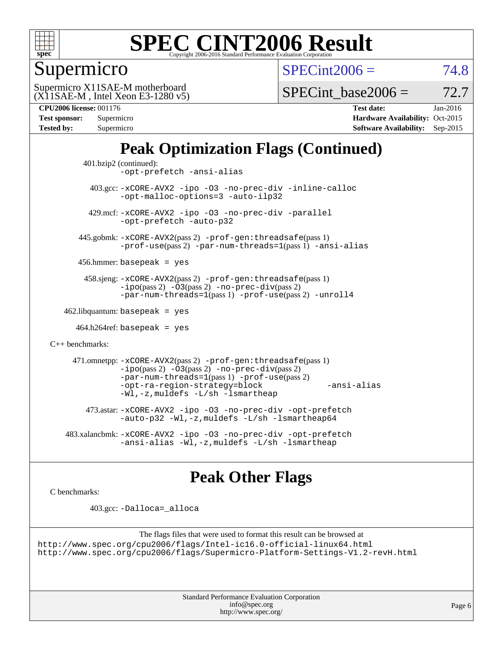

Supermicro

 $SPECint2006 = 74.8$  $SPECint2006 = 74.8$ 

(X11SAE-M , Intel Xeon E3-1280 v5) Supermicro X11SAE-M motherboard

SPECint base2006 =  $72.7$ 

**[CPU2006 license:](http://www.spec.org/auto/cpu2006/Docs/result-fields.html#CPU2006license)** 001176 **[Test date:](http://www.spec.org/auto/cpu2006/Docs/result-fields.html#Testdate)** Jan-2016

| Test sponsor:     | Supermicro |
|-------------------|------------|
| <b>Tested by:</b> | Supermicro |
|                   |            |

**[Hardware Availability:](http://www.spec.org/auto/cpu2006/Docs/result-fields.html#HardwareAvailability)** Oct-2015 **[Software Availability:](http://www.spec.org/auto/cpu2006/Docs/result-fields.html#SoftwareAvailability)** Sep-2015

## **[Peak Optimization Flags \(Continued\)](http://www.spec.org/auto/cpu2006/Docs/result-fields.html#PeakOptimizationFlags)**

```
 401.bzip2 (continued):
                -opt-prefetch -ansi-alias
          403.gcc: -xCORE-AVX2 -ipo -O3 -no-prec-div -inline-calloc
                -opt-malloc-options=3 -auto-ilp32
         429.mcf: -xCORE-AVX2 -ipo -O3 -no-prec-div -parallel
                -opt-prefetch -auto-p32
       445.gobmk: -xCORE-AVX2(pass 2) -prof-gen:threadsafe(pass 1)
                -prof-use(pass 2) -par-num-threads=1(pass 1) -ansi-alias
       456.hmmer: basepeak = yes
        458.sjeng: -xCORE-AVX2(pass 2) -prof-gen:threadsafe(pass 1)
                -i\text{po}(pass 2) -\tilde{O}3(pass 2)-no-prec-div(pass 2)
                -par-num-threads=1(pass 1) -prof-use(pass 2) -unroll4
   462.libquantum: basepeak = yes
     464.h264ref: basepeak = yes
C++ benchmarks: 
      471.omnetpp: -xCORE-AVX2(pass 2) -prof-gen:threadsafe(pass 1)
                -i\text{po}(pass 2) -\overline{O}3(pass 2) -no-\overline{prec}\-div(pass 2)-par-num-threads=1(pass 1) -prof-use(pass 2)
                -opt-ra-region-strategy=block -ansi-alias
                -Wl,-z,muldefs -L/sh -lsmartheap
         473.astar: -xCORE-AVX2 -ipo -O3 -no-prec-div -opt-prefetch
                -auto-p32 -Wl,-z,muldefs -L/sh -lsmartheap64
    483.xalancbmk: -xCORE-AVX2 -ipo -O3 -no-prec-div -opt-prefetch
                -ansi-alias-L/sh -lsmartheap
```
### **[Peak Other Flags](http://www.spec.org/auto/cpu2006/Docs/result-fields.html#PeakOtherFlags)**

[C benchmarks](http://www.spec.org/auto/cpu2006/Docs/result-fields.html#Cbenchmarks):

403.gcc: [-Dalloca=\\_alloca](http://www.spec.org/cpu2006/results/res2016q1/cpu2006-20160206-38994.flags.html#b403.gcc_peakEXTRA_CFLAGS_Dalloca_be3056838c12de2578596ca5467af7f3)

```
The flags files that were used to format this result can be browsed at
http://www.spec.org/cpu2006/flags/Intel-ic16.0-official-linux64.html
http://www.spec.org/cpu2006/flags/Supermicro-Platform-Settings-V1.2-revH.html
```